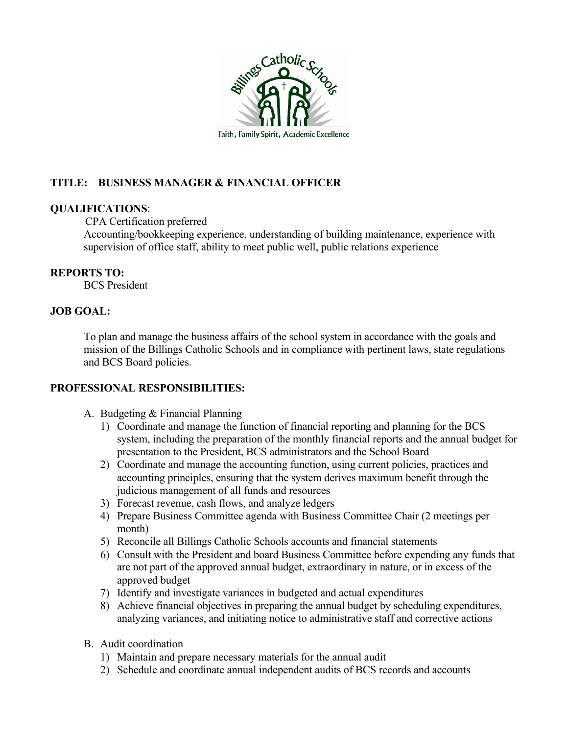

# **TITLE: BUSINESS MANAGER & FINANCIAL OFFICER**

## **QUALIFICATIONS**:

CPA Certification preferred

Accounting/bookkeeping experience, understanding of building maintenance, experience with supervision of office staff, ability to meet public well, public relations experience

## **REPORTS TO:**

BCS President

# **JOB GOAL:**

To plan and manage the business affairs of the school system in accordance with the goals and mission of the Billings Catholic Schools and in compliance with pertinent laws, state regulations and BCS Board policies.

# **PROFESSIONAL RESPONSIBILITIES:**

- A. Budgeting & Financial Planning
	- 1) Coordinate and manage the function of financial reporting and planning for the BCS system, including the preparation of the monthly financial reports and the annual budget for presentation to the President, BCS administrators and the School Board
	- 2) Coordinate and manage the accounting function, using current policies, practices and accounting principles, ensuring that the system derives maximum benefit through the judicious management of all funds and resources
	- 3) Forecast revenue, cash flows, and analyze ledgers
	- 4) Prepare Business Committee agenda with Business Committee Chair (2 meetings per month)
	- 5) Reconcile all Billings Catholic Schools accounts and financial statements
	- 6) Consult with the President and board Business Committee before expending any funds that are not part of the approved annual budget, extraordinary in nature, or in excess of the approved budget
	- 7) Identify and investigate variances in budgeted and actual expenditures
	- 8) Achieve financial objectives in preparing the annual budget by scheduling expenditures, analyzing variances, and initiating notice to administrative staff and corrective actions
- B. Audit coordination
	- 1) Maintain and prepare necessary materials for the annual audit
	- 2) Schedule and coordinate annual independent audits of BCS records and accounts